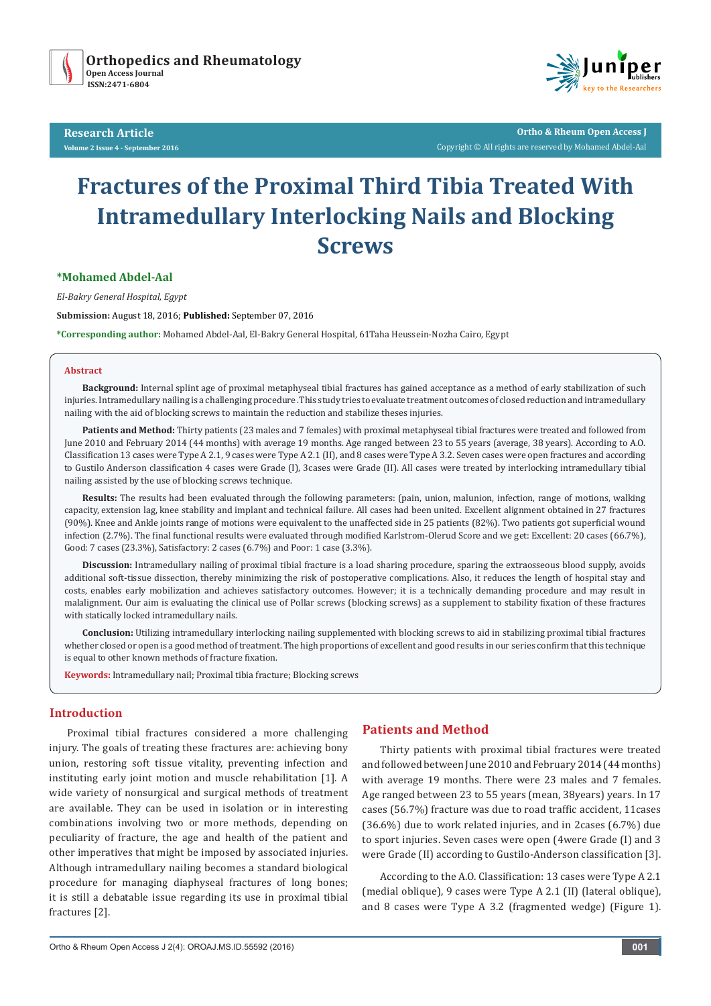

**Research Article Volume 2 Issue 4 - September 2016**



**Ortho & Rheum Open Access J** Copyright © All rights are reserved by Mohamed Abdel-Aal

# **Fractures of the Proximal Third Tibia Treated With Intramedullary Interlocking Nails and Blocking Screws**

## **\*Mohamed Abdel-Aal**

*El-Bakry General Hospital, Egypt*

**Submission:** August 18, 2016; **Published:** September 07, 2016

**\*Corresponding author:** Mohamed Abdel-Aal, El-Bakry General Hospital, 61Taha Heussein-Nozha Cairo, Egypt

#### **Abstract**

**Background:** Internal splint age of proximal metaphyseal tibial fractures has gained acceptance as a method of early stabilization of such injuries. Intramedullary nailing is a challenging procedure .This study tries to evaluate treatment outcomes of closed reduction and intramedullary nailing with the aid of blocking screws to maintain the reduction and stabilize theses injuries.

**Patients and Method:** Thirty patients (23 males and 7 females) with proximal metaphyseal tibial fractures were treated and followed from June 2010 and February 2014 (44 months) with average 19 months. Age ranged between 23 to 55 years (average, 38 years). According to A.O. Classification 13 cases were Type A 2.1, 9 cases were Type A 2.1 (II), and 8 cases were Type A 3.2. Seven cases were open fractures and according to Gustilo Anderson classification 4 cases were Grade (I), 3cases were Grade (II). All cases were treated by interlocking intramedullary tibial nailing assisted by the use of blocking screws technique.

**Results:** The results had been evaluated through the following parameters: (pain, union, malunion, infection, range of motions, walking capacity, extension lag, knee stability and implant and technical failure. All cases had been united. Excellent alignment obtained in 27 fractures (90%). Knee and Ankle joints range of motions were equivalent to the unaffected side in 25 patients (82%). Two patients got superficial wound infection (2.7%). The final functional results were evaluated through modified Karlstrom-Olerud Score and we get: Excellent: 20 cases (66.7%), Good: 7 cases (23.3%), Satisfactory: 2 cases (6.7%) and Poor: 1 case (3.3%).

**Discussion:** Intramedullary nailing of proximal tibial fracture is a load sharing procedure, sparing the extraosseous blood supply, avoids additional soft-tissue dissection, thereby minimizing the risk of postoperative complications. Also, it reduces the length of hospital stay and costs, enables early mobilization and achieves satisfactory outcomes. However; it is a technically demanding procedure and may result in malalignment. Our aim is evaluating the clinical use of Pollar screws (blocking screws) as a supplement to stability fixation of these fractures with statically locked intramedullary nails.

**Conclusion:** Utilizing intramedullary interlocking nailing supplemented with blocking screws to aid in stabilizing proximal tibial fractures whether closed or open is a good method of treatment. The high proportions of excellent and good results in our series confirm that this technique is equal to other known methods of fracture fixation.

**Keywords:** Intramedullary nail; Proximal tibia fracture; Blocking screws

## **Introduction**

Proximal tibial fractures considered a more challenging injury. The goals of treating these fractures are: achieving bony union, restoring soft tissue vitality, preventing infection and instituting early joint motion and muscle rehabilitation [1]. A wide variety of nonsurgical and surgical methods of treatment are available. They can be used in isolation or in interesting combinations involving two or more methods, depending on peculiarity of fracture, the age and health of the patient and other imperatives that might be imposed by associated injuries. Although intramedullary nailing becomes a standard biological procedure for managing diaphyseal fractures of long bones; it is still a debatable issue regarding its use in proximal tibial fractures [2].

## **Patients and Method**

Thirty patients with proximal tibial fractures were treated and followed between June 2010 and February 2014 (44 months) with average 19 months. There were 23 males and 7 females. Age ranged between 23 to 55 years (mean, 38years) years. In 17 cases (56.7%) fracture was due to road traffic accident, 11cases (36.6%) due to work related injuries, and in 2cases (6.7%) due to sport injuries. Seven cases were open (4were Grade (I) and 3 were Grade (II) according to Gustilo-Anderson classification [3].

According to the A.O. Classification: 13 cases were Type A 2.1 (medial oblique), 9 cases were Type A 2.1 (II) (lateral oblique), and 8 cases were Type A 3.2 (fragmented wedge) (Figure 1).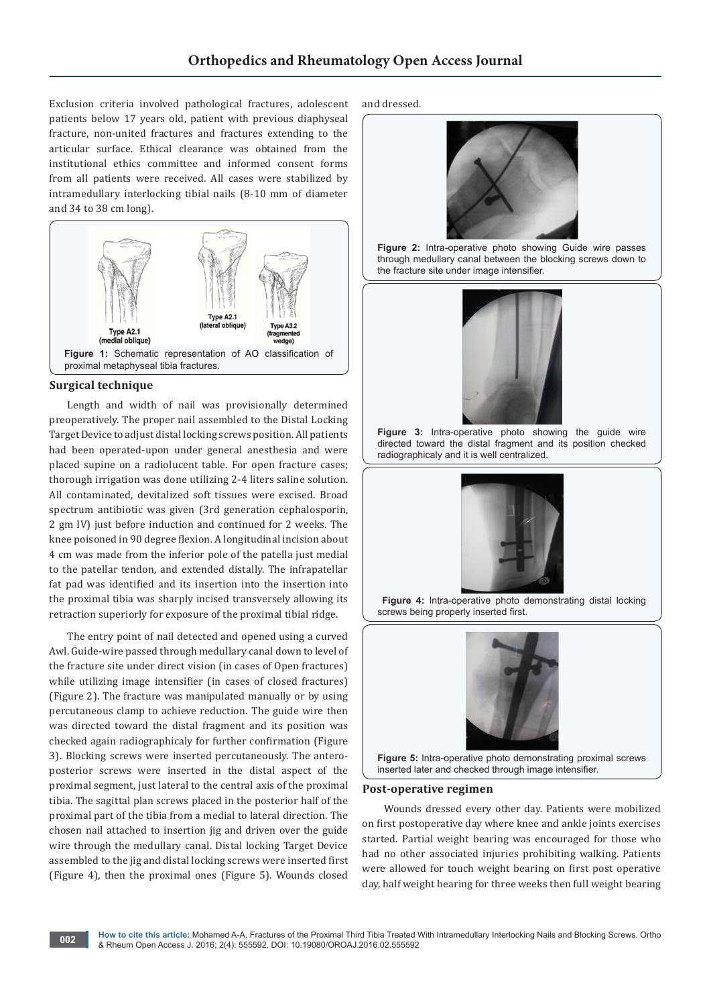Exclusion criteria involved pathological fractures, adolescent patients below 17 years old, patient with previous diaphyseal fracture, non-united fractures and fractures extending to the articular surface. Ethical clearance was obtained from the institutional ethics committee and informed consent forms from all patients were received. All cases were stabilized by intramedullary interlocking tibial nails (8-10 mm of diameter and 34 to 38 cm long).



## **Surgical technique**

Length and width of nail was provisionally determined preoperatively. The proper nail assembled to the Distal Locking Target Device to adjust distal locking screws position. All patients had been operated-upon under general anesthesia and were placed supine on a radiolucent table. For open fracture cases; thorough irrigation was done utilizing 2-4 liters saline solution. All contaminated, devitalized soft tissues were excised. Broad spectrum antibiotic was given (3rd generation cephalosporin, 2 gm IV) just before induction and continued for 2 weeks. The knee poisoned in 90 degree flexion. A longitudinal incision about 4 cm was made from the inferior pole of the patella just medial to the patellar tendon, and extended distally. The infrapatellar fat pad was identified and its insertion into the insertion into the proximal tibia was sharply incised transversely allowing its retraction superiorly for exposure of the proximal tibial ridge.

The entry point of nail detected and opened using a curved Awl. Guide-wire passed through medullary canal down to level of the fracture site under direct vision (in cases of Open fractures) while utilizing image intensifier (in cases of closed fractures) (Figure 2). The fracture was manipulated manually or by using percutaneous clamp to achieve reduction. The guide wire then was directed toward the distal fragment and its position was checked again radiographicaly for further confirmation (Figure 3). Blocking screws were inserted percutaneously. The anteroposterior screws were inserted in the distal aspect of the proximal segment, just lateral to the central axis of the proximal tibia. The sagittal plan screws placed in the posterior half of the proximal part of the tibia from a medial to lateral direction. The chosen nail attached to insertion jig and driven over the guide wire through the medullary canal. Distal locking Target Device assembled to the jig and distal locking screws were inserted first (Figure 4), then the proximal ones (Figure 5). Wounds closed

and dressed.



**Figure 2:** Intra-operative photo showing Guide wire passes through medullary canal between the blocking screws down to the fracture site under image intensifier.



**Figure 3:** Intra-operative photo showing the guide wire directed toward the distal fragment and its position checked radiographicaly and it is well centralized.



 **Figure 4:** Intra-operative photo demonstrating distal locking screws being properly inserted first.





#### **Post-operative regimen**

 Wounds dressed every other day. Patients were mobilized on first postoperative day where knee and ankle joints exercises started. Partial weight bearing was encouraged for those who had no other associated injuries prohibiting walking. Patients were allowed for touch weight bearing on first post operative day, half weight bearing for three weeks then full weight bearing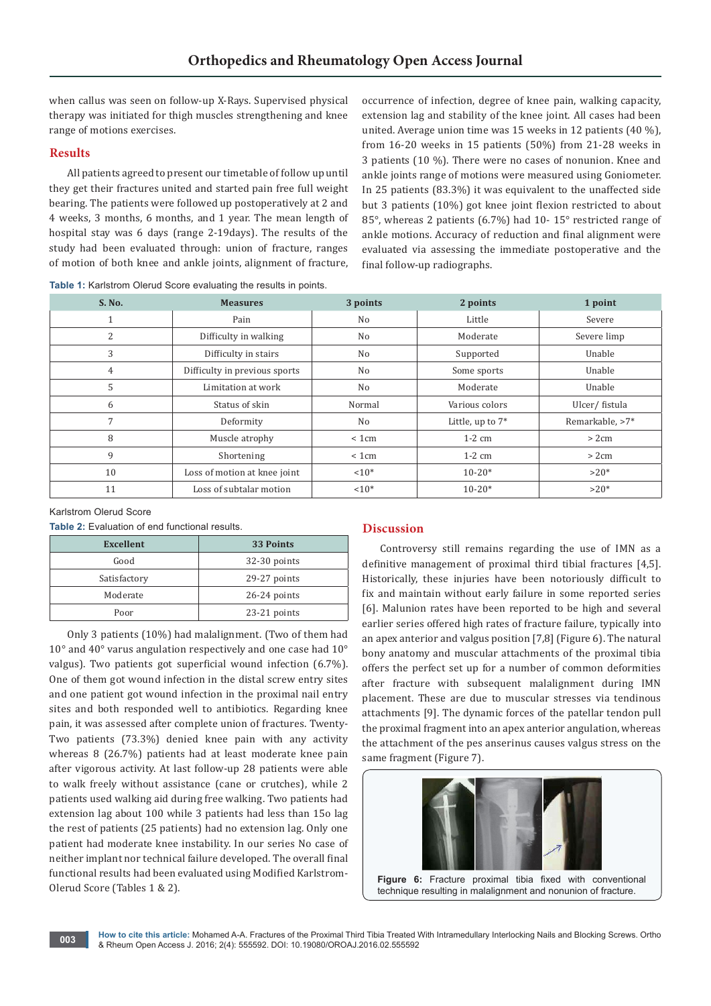when callus was seen on follow-up X-Rays. Supervised physical therapy was initiated for thigh muscles strengthening and knee range of motions exercises.

## **Results**

All patients agreed to present our timetable of follow up until they get their fractures united and started pain free full weight bearing. The patients were followed up postoperatively at 2 and 4 weeks, 3 months, 6 months, and 1 year. The mean length of hospital stay was 6 days (range 2-19days). The results of the study had been evaluated through: union of fracture, ranges of motion of both knee and ankle joints, alignment of fracture,

**Table 1:** Karlstrom Olerud Score evaluating the results in points.

occurrence of infection, degree of knee pain, walking capacity, extension lag and stability of the knee joint. All cases had been united. Average union time was 15 weeks in 12 patients (40 %), from 16-20 weeks in 15 patients (50%) from 21-28 weeks in 3 patients (10 %). There were no cases of nonunion. Knee and ankle joints range of motions were measured using Goniometer. In 25 patients (83.3%) it was equivalent to the unaffected side but 3 patients (10%) got knee joint flexion restricted to about 85°, whereas 2 patients (6.7%) had 10- 15° restricted range of ankle motions. Accuracy of reduction and final alignment were evaluated via assessing the immediate postoperative and the final follow-up radiographs.

| S. No.         | <b>Measures</b>               | 3 points       | 2 points            | 1 point         |
|----------------|-------------------------------|----------------|---------------------|-----------------|
|                | Pain                          | N <sub>o</sub> | Little              | Severe          |
| 2              | Difficulty in walking         | No             | Moderate            | Severe limp     |
| 3              | Difficulty in stairs          | No             | Supported           | Unable          |
| $\overline{4}$ | Difficulty in previous sports | N <sub>o</sub> | Some sports         | Unable          |
| 5              | Limitation at work            | No             | Moderate            | Unable          |
| 6              | Status of skin                | Normal         | Various colors      | Ulcer/fistula   |
| 7              | Deformity                     | No             | Little, up to $7^*$ | Remarkable, >7* |
| 8              | Muscle atrophy                | < 1cm          | $1-2$ cm            | >2cm            |
| 9              | Shortening                    | < 1cm          | $1-2$ cm            | > 2cm           |
| 10             | Loss of motion at knee joint  | $10*$          | $10 - 20*$          | $>20*$          |
| 11             | Loss of subtalar motion       | $10*$          | $10 - 20*$          | $>20*$          |

Karlstrom Olerud Score

**Table 2:** Evaluation of end functional results.

| <b>Excellent</b> | 33 Points      |  |
|------------------|----------------|--|
| Good             | 32-30 points   |  |
| Satisfactory     | 29-27 points   |  |
| Moderate         | $26-24$ points |  |
| Poor             | 23-21 points   |  |

Only 3 patients (10%) had malalignment. (Two of them had 10° and 40° varus angulation respectively and one case had 10° valgus). Two patients got superficial wound infection (6.7%). One of them got wound infection in the distal screw entry sites and one patient got wound infection in the proximal nail entry sites and both responded well to antibiotics. Regarding knee pain, it was assessed after complete union of fractures. Twenty-Two patients (73.3%) denied knee pain with any activity whereas 8 (26.7%) patients had at least moderate knee pain after vigorous activity. At last follow-up 28 patients were able to walk freely without assistance (cane or crutches), while 2 patients used walking aid during free walking. Two patients had extension lag about 100 while 3 patients had less than 15o lag the rest of patients (25 patients) had no extension lag. Only one patient had moderate knee instability. In our series No case of neither implant nor technical failure developed. The overall final functional results had been evaluated using Modified Karlstrom-Olerud Score (Tables 1 & 2).

# **Discussion**

Controversy still remains regarding the use of IMN as a definitive management of proximal third tibial fractures [4,5]. Historically, these injuries have been notoriously difficult to fix and maintain without early failure in some reported series [6]. Malunion rates have been reported to be high and several earlier series offered high rates of fracture failure, typically into an apex anterior and valgus position [7,8] (Figure 6). The natural bony anatomy and muscular attachments of the proximal tibia offers the perfect set up for a number of common deformities after fracture with subsequent malalignment during IMN placement. These are due to muscular stresses via tendinous attachments [9]. The dynamic forces of the patellar tendon pull the proximal fragment into an apex anterior angulation, whereas the attachment of the pes anserinus causes valgus stress on the same fragment (Figure 7).



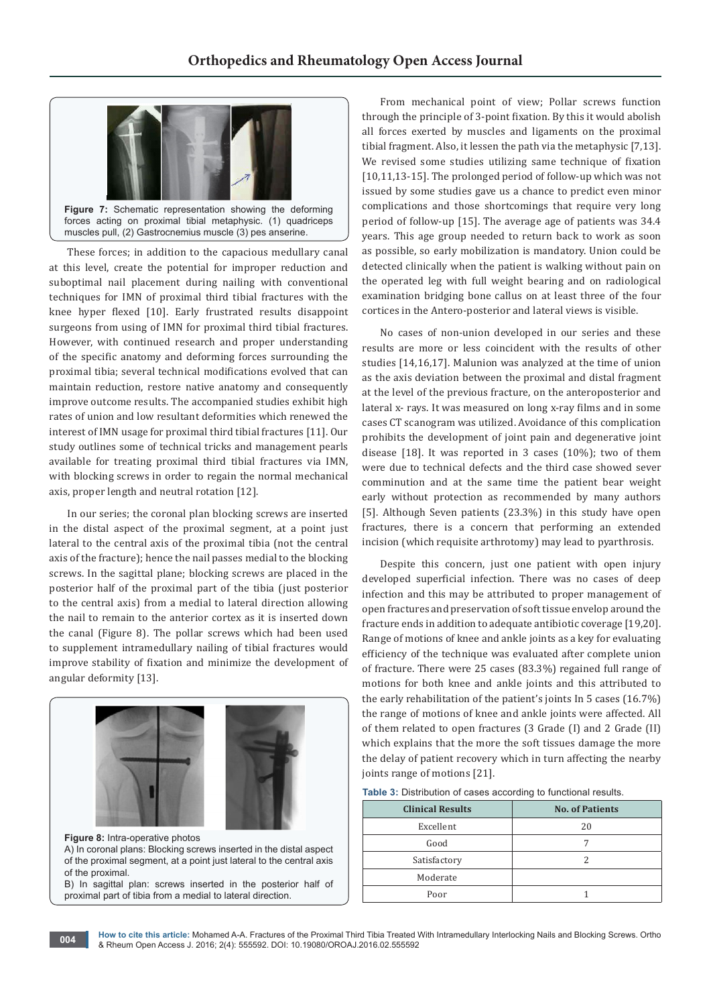

These forces; in addition to the capacious medullary canal at this level, create the potential for improper reduction and suboptimal nail placement during nailing with conventional techniques for IMN of proximal third tibial fractures with the knee hyper flexed [10]. Early frustrated results disappoint surgeons from using of IMN for proximal third tibial fractures. However, with continued research and proper understanding of the specific anatomy and deforming forces surrounding the proximal tibia; several technical modifications evolved that can maintain reduction, restore native anatomy and consequently improve outcome results. The accompanied studies exhibit high rates of union and low resultant deformities which renewed the interest of IMN usage for proximal third tibial fractures [11]. Our study outlines some of technical tricks and management pearls available for treating proximal third tibial fractures via IMN, with blocking screws in order to regain the normal mechanical axis, proper length and neutral rotation [12].

In our series; the coronal plan blocking screws are inserted in the distal aspect of the proximal segment, at a point just lateral to the central axis of the proximal tibia (not the central axis of the fracture); hence the nail passes medial to the blocking screws. In the sagittal plane; blocking screws are placed in the posterior half of the proximal part of the tibia (just posterior to the central axis) from a medial to lateral direction allowing the nail to remain to the anterior cortex as it is inserted down the canal (Figure 8). The pollar screws which had been used to supplement intramedullary nailing of tibial fractures would improve stability of fixation and minimize the development of angular deformity [13].



**Figure 8:** Intra-operative photos A) In coronal plans: Blocking screws inserted in the distal aspect of the proximal segment, at a point just lateral to the central axis of the proximal. B) In sagittal plan: screws inserted in the posterior half of proximal part of tibia from a medial to lateral direction.

From mechanical point of view; Pollar screws function through the principle of 3-point fixation. By this it would abolish all forces exerted by muscles and ligaments on the proximal tibial fragment. Also, it lessen the path via the metaphysic [7,13]. We revised some studies utilizing same technique of fixation [10,11,13-15]. The prolonged period of follow-up which was not issued by some studies gave us a chance to predict even minor complications and those shortcomings that require very long period of follow-up [15]. The average age of patients was 34.4 years. This age group needed to return back to work as soon as possible, so early mobilization is mandatory. Union could be detected clinically when the patient is walking without pain on the operated leg with full weight bearing and on radiological examination bridging bone callus on at least three of the four cortices in the Antero-posterior and lateral views is visible.

No cases of non-union developed in our series and these results are more or less coincident with the results of other studies [14,16,17]. Malunion was analyzed at the time of union as the axis deviation between the proximal and distal fragment at the level of the previous fracture, on the anteroposterior and lateral x- rays. It was measured on long x-ray films and in some cases CT scanogram was utilized. Avoidance of this complication prohibits the development of joint pain and degenerative joint disease [18]. It was reported in 3 cases (10%); two of them were due to technical defects and the third case showed sever comminution and at the same time the patient bear weight early without protection as recommended by many authors [5]. Although Seven patients (23.3%) in this study have open fractures, there is a concern that performing an extended incision (which requisite arthrotomy) may lead to pyarthrosis.

Despite this concern, just one patient with open injury developed superficial infection. There was no cases of deep infection and this may be attributed to proper management of open fractures and preservation of soft tissue envelop around the fracture ends in addition to adequate antibiotic coverage [19,20]. Range of motions of knee and ankle joints as a key for evaluating efficiency of the technique was evaluated after complete union of fracture. There were 25 cases (83.3%) regained full range of motions for both knee and ankle joints and this attributed to the early rehabilitation of the patient's joints In 5 cases (16.7%) the range of motions of knee and ankle joints were affected. All of them related to open fractures (3 Grade (I) and 2 Grade (II) which explains that the more the soft tissues damage the more the delay of patient recovery which in turn affecting the nearby joints range of motions [21].

| Table 3: Distribution of cases according to functional results. |  |  |  |
|-----------------------------------------------------------------|--|--|--|
|-----------------------------------------------------------------|--|--|--|

| <b>Clinical Results</b> | <b>No. of Patients</b> |  |
|-------------------------|------------------------|--|
| Excellent               | 20                     |  |
| Good                    |                        |  |
| Satisfactory            |                        |  |
| Moderate                |                        |  |
| Poor                    |                        |  |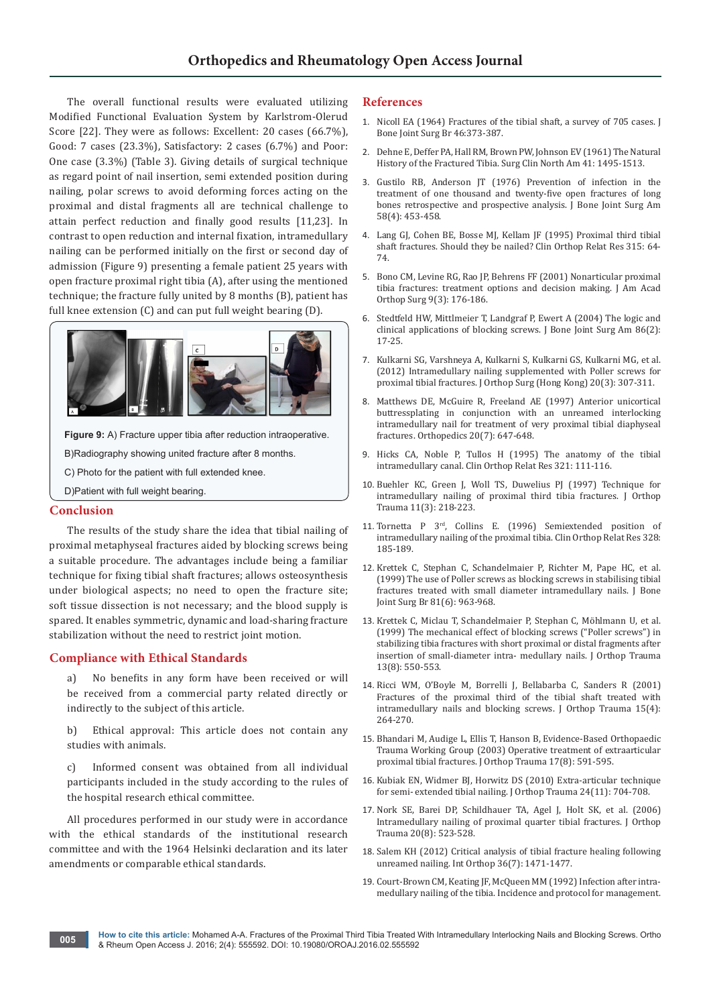The overall functional results were evaluated utilizing Modified Functional Evaluation System by Karlstrom-Olerud Score [22]. They were as follows: Excellent: 20 cases (66.7%), Good: 7 cases (23.3%), Satisfactory: 2 cases (6.7%) and Poor: One case (3.3%) (Table 3). Giving details of surgical technique as regard point of nail insertion, semi extended position during nailing, polar screws to avoid deforming forces acting on the proximal and distal fragments all are technical challenge to attain perfect reduction and finally good results [11,23]. In contrast to open reduction and internal fixation, intramedullary nailing can be performed initially on the first or second day of admission (Figure 9) presenting a female patient 25 years with open fracture proximal right tibia (A), after using the mentioned technique; the fracture fully united by 8 months (B), patient has full knee extension (C) and can put full weight bearing (D).



**Figure 9:** A) Fracture upper tibia after reduction intraoperative. B)Radiography showing united fracture after 8 months. C) Photo for the patient with full extended knee. D)Patient with full weight bearing.

## **Conclusion**

The results of the study share the idea that tibial nailing of proximal metaphyseal fractures aided by blocking screws being a suitable procedure. The advantages include being a familiar technique for fixing tibial shaft fractures; allows osteosynthesis under biological aspects; no need to open the fracture site; soft tissue dissection is not necessary; and the blood supply is spared. It enables symmetric, dynamic and load-sharing fracture stabilization without the need to restrict joint motion.

# **Compliance with Ethical Standards**

a) No benefits in any form have been received or will be received from a commercial party related directly or indirectly to the subject of this article.

b) Ethical approval: This article does not contain any studies with animals.

c) Informed consent was obtained from all individual participants included in the study according to the rules of the hospital research ethical committee.

All procedures performed in our study were in accordance with the ethical standards of the institutional research committee and with the 1964 Helsinki declaration and its later amendments or comparable ethical standards.

## **References**

- 1. [Nicoll EA \(1964\) Fractures of the tibial shaft, a survey of 705 cases. J](http://www.ncbi.nlm.nih.gov/pubmed/14216447)  [Bone Joint Surg Br 46:373-387.](http://www.ncbi.nlm.nih.gov/pubmed/14216447)
- 2. [Dehne E, Deffer PA, Hall RM, Brown PW, Johnson EV \(1961\) The Natural](http://www.ncbi.nlm.nih.gov/pubmed/13884907)  [History of the Fractured Tibia. Surg Clin North Am 41: 1495-1513.](http://www.ncbi.nlm.nih.gov/pubmed/13884907)
- 3. [Gustilo RB, Anderson JT \(1976\) Prevention of infection in the](http://www.ncbi.nlm.nih.gov/pubmed/773941)  [treatment of one thousand and twenty-five open fractures of long](http://www.ncbi.nlm.nih.gov/pubmed/773941)  [bones retrospective and prospective analysis. J Bone Joint Surg Am](http://www.ncbi.nlm.nih.gov/pubmed/773941)  [58\(4\): 453-458.](http://www.ncbi.nlm.nih.gov/pubmed/773941)
- 4. [Lang GJ, Cohen BE, Bosse MJ, Kellam JF \(1995\) Proximal third tibial](http://www.ncbi.nlm.nih.gov/pubmed/7634688)  [shaft fractures. Should they be nailed? Clin Orthop Relat Res 315: 64-](http://www.ncbi.nlm.nih.gov/pubmed/7634688) [74.](http://www.ncbi.nlm.nih.gov/pubmed/7634688)
- 5. [Bono CM, Levine RG, Rao JP, Behrens FF \(2001\) Nonarticular proximal](http://www.ncbi.nlm.nih.gov/pubmed/11421575)  [tibia fractures: treatment options and decision making. J Am Acad](http://www.ncbi.nlm.nih.gov/pubmed/11421575)  [Orthop Surg 9\(3\): 176-186.](http://www.ncbi.nlm.nih.gov/pubmed/11421575)
- 6. [Stedtfeld HW, Mittlmeier T, Landgraf P, Ewert A \(2004\) The logic and](http://www.ncbi.nlm.nih.gov/pubmed/15691104)  [clinical applications of blocking screws. J Bone Joint Surg Am 86\(2\):](http://www.ncbi.nlm.nih.gov/pubmed/15691104)  [17-25.](http://www.ncbi.nlm.nih.gov/pubmed/15691104)
- 7. [Kulkarni SG, Varshneya A, Kulkarni S, Kulkarni GS, Kulkarni MG, et al.](http://www.ncbi.nlm.nih.gov/pubmed/23255635)  [\(2012\) Intramedullary nailing supplemented with Poller screws for](http://www.ncbi.nlm.nih.gov/pubmed/23255635)  [proximal tibial fractures. J Orthop Surg \(Hong Kong\) 20\(3\): 307-311.](http://www.ncbi.nlm.nih.gov/pubmed/23255635)
- 8. [Matthews DE, McGuire R, Freeland AE \(1997\) Anterior unicortical](http://www.ncbi.nlm.nih.gov/pubmed/9243676)  [buttressplating in conjunction with an unreamed interlocking](http://www.ncbi.nlm.nih.gov/pubmed/9243676)  [intramedullary nail for treatment of very proximal tibial diaphyseal](http://www.ncbi.nlm.nih.gov/pubmed/9243676)  [fractures. Orthopedics 20\(7\): 647-648.](http://www.ncbi.nlm.nih.gov/pubmed/9243676)
- 9. [Hicks CA, Noble P, Tullos H \(1995\) The anatomy of the tibial](http://www.ncbi.nlm.nih.gov/pubmed/7497655)  [intramedullary canal. Clin Orthop Relat Res 321: 111-116.](http://www.ncbi.nlm.nih.gov/pubmed/7497655)
- 10. [Buehler KC, Green J, Woll TS, Duwelius PJ \(1997\) Technique for](http://www.ncbi.nlm.nih.gov/pubmed/9181507)  [intramedullary nailing of proximal third tibia fractures. J Orthop](http://www.ncbi.nlm.nih.gov/pubmed/9181507)  [Trauma 11\(3\): 218-223.](http://www.ncbi.nlm.nih.gov/pubmed/9181507)
- 11. [Tornetta P 3rd, Collins E. \(1996\) Semiextended position of](http://www.ncbi.nlm.nih.gov/pubmed/8653954)  [intramedullary nailing of the proximal tibia. Clin Orthop Relat Res 328:](http://www.ncbi.nlm.nih.gov/pubmed/8653954)  [185-189.](http://www.ncbi.nlm.nih.gov/pubmed/8653954)
- 12. [Krettek C, Stephan C, Schandelmaier P, Richter M, Pape HC, et al.](http://www.ncbi.nlm.nih.gov/pubmed/10615966)  [\(1999\) The use of Poller screws as blocking screws in stabilising tibial](http://www.ncbi.nlm.nih.gov/pubmed/10615966)  [fractures treated with small diameter intramedullary nails. J Bone](http://www.ncbi.nlm.nih.gov/pubmed/10615966)  [Joint Surg Br 81\(6\): 963-968.](http://www.ncbi.nlm.nih.gov/pubmed/10615966)
- 13. [Krettek C, Miclau T, Schandelmaier P, Stephan C, Möhlmann U, et al.](http://www.ncbi.nlm.nih.gov/pubmed/10714781)  [\(1999\) The mechanical effect of blocking screws \("Poller screws"\) in](http://www.ncbi.nlm.nih.gov/pubmed/10714781)  [stabilizing tibia fractures with short proximal or distal fragments after](http://www.ncbi.nlm.nih.gov/pubmed/10714781)  [insertion of small-diameter intra- medullary nails. J Orthop Trauma](http://www.ncbi.nlm.nih.gov/pubmed/10714781)  [13\(8\): 550-553.](http://www.ncbi.nlm.nih.gov/pubmed/10714781)
- 14. [Ricci WM, O'Boyle M, Borrelli J, Bellabarba C, Sanders R \(2001\)](http://www.ncbi.nlm.nih.gov/pubmed/11371791)  [Fractures of the proximal third of the tibial shaft treated with](http://www.ncbi.nlm.nih.gov/pubmed/11371791)  [intramedullary nails and blocking screws. J Orthop Trauma 15\(4\):](http://www.ncbi.nlm.nih.gov/pubmed/11371791)  [264-270.](http://www.ncbi.nlm.nih.gov/pubmed/11371791)
- 15. [Bhandari M, Audige L, Ellis T, Hanson B, Evidence-Based Orthopaedic](http://www.ncbi.nlm.nih.gov/pubmed/14504586)  [Trauma Working Group \(2003\) Operative treatment of extraarticular](http://www.ncbi.nlm.nih.gov/pubmed/14504586)  [proximal tibial fractures. J Orthop Trauma 17\(8\): 591-595.](http://www.ncbi.nlm.nih.gov/pubmed/14504586)
- 16. [Kubiak EN, Widmer BJ, Horwitz DS \(2010\) Extra-articular technique](http://www.ncbi.nlm.nih.gov/pubmed/20881632)  [for semi- extended tibial nailing. J Orthop Trauma 24\(11\): 704-708.](http://www.ncbi.nlm.nih.gov/pubmed/20881632)
- 17. [Nork SE, Barei DP, Schildhauer TA, Agel J, Holt SK, et al. \(2006\)](http://www.ncbi.nlm.nih.gov/pubmed/16990722)  [Intramedullary nailing of proximal quarter tibial fractures. J Orthop](http://www.ncbi.nlm.nih.gov/pubmed/16990722)  [Trauma 20\(8\): 523-528.](http://www.ncbi.nlm.nih.gov/pubmed/16990722)
- 18. [Salem KH \(2012\) Critical analysis of tibial fracture healing following](http://www.ncbi.nlm.nih.gov/pubmed/22426930)  [unreamed nailing. Int Orthop 36\(7\): 1471-1477.](http://www.ncbi.nlm.nih.gov/pubmed/22426930)
- 19. [Court-Brown CM, Keating JF, McQueen MM \(1992\) Infection after intra](http://www.ncbi.nlm.nih.gov/pubmed/1527132)[medullary nailing of the tibia. Incidence and protocol for management.](http://www.ncbi.nlm.nih.gov/pubmed/1527132)